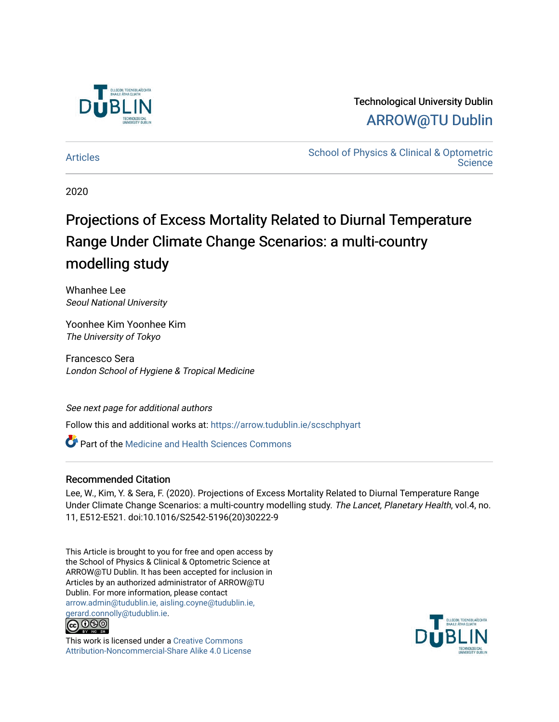

## Technological University Dublin [ARROW@TU Dublin](https://arrow.tudublin.ie/)

[Articles](https://arrow.tudublin.ie/scschphyart) **School of Physics & Clinical & Optometric Science** 

2020

# Projections of Excess Mortality Related to Diurnal Temperature Range Under Climate Change Scenarios: a multi-country modelling study

Whanhee Lee Seoul National University

Yoonhee Kim Yoonhee Kim The University of Tokyo

Francesco Sera London School of Hygiene & Tropical Medicine

### See next page for additional authors

Follow this and additional works at: [https://arrow.tudublin.ie/scschphyart](https://arrow.tudublin.ie/scschphyart?utm_source=arrow.tudublin.ie%2Fscschphyart%2F156&utm_medium=PDF&utm_campaign=PDFCoverPages)

**C** Part of the Medicine and Health Sciences Commons

### Recommended Citation

Lee, W., Kim, Y. & Sera, F. (2020). Projections of Excess Mortality Related to Diurnal Temperature Range Under Climate Change Scenarios: a multi-country modelling study. The Lancet, Planetary Health, vol.4, no. 11, E512-E521. doi:10.1016/S2542-5196(20)30222-9

This Article is brought to you for free and open access by the School of Physics & Clinical & Optometric Science at ARROW@TU Dublin. It has been accepted for inclusion in Articles by an authorized administrator of ARROW@TU Dublin. For more information, please contact [arrow.admin@tudublin.ie, aisling.coyne@tudublin.ie,](mailto:arrow.admin@tudublin.ie,%20aisling.coyne@tudublin.ie,%20gerard.connolly@tudublin.ie)  [gerard.connolly@tudublin.ie](mailto:arrow.admin@tudublin.ie,%20aisling.coyne@tudublin.ie,%20gerard.connolly@tudublin.ie).



This work is licensed under a [Creative Commons](http://creativecommons.org/licenses/by-nc-sa/4.0/) [Attribution-Noncommercial-Share Alike 4.0 License](http://creativecommons.org/licenses/by-nc-sa/4.0/)

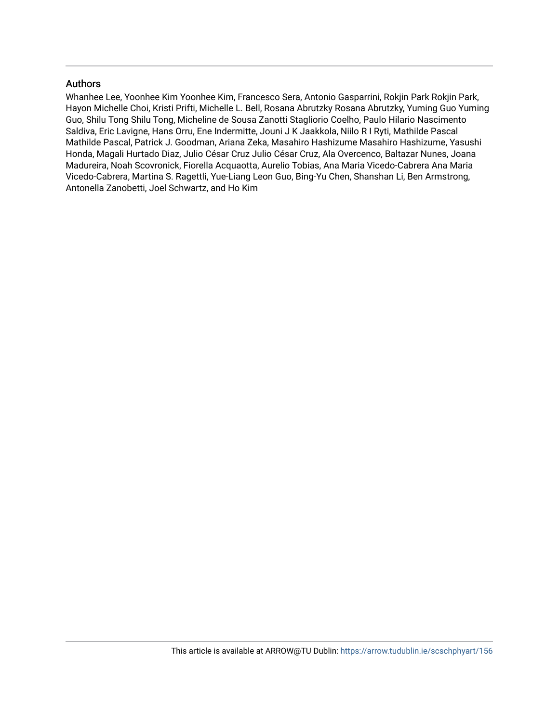### Authors

Whanhee Lee, Yoonhee Kim Yoonhee Kim, Francesco Sera, Antonio Gasparrini, Rokjin Park Rokjin Park, Hayon Michelle Choi, Kristi Prifti, Michelle L. Bell, Rosana Abrutzky Rosana Abrutzky, Yuming Guo Yuming Guo, Shilu Tong Shilu Tong, Micheline de Sousa Zanotti Stagliorio Coelho, Paulo Hilario Nascimento Saldiva, Eric Lavigne, Hans Orru, Ene Indermitte, Jouni J K Jaakkola, Niilo R I Ryti, Mathilde Pascal Mathilde Pascal, Patrick J. Goodman, Ariana Zeka, Masahiro Hashizume Masahiro Hashizume, Yasushi Honda, Magali Hurtado Diaz, Julio César Cruz Julio César Cruz, Ala Overcenco, Baltazar Nunes, Joana Madureira, Noah Scovronick, Fiorella Acquaotta, Aurelio Tobias, Ana Maria Vicedo-Cabrera Ana Maria Vicedo-Cabrera, Martina S. Ragettli, Yue-Liang Leon Guo, Bing-Yu Chen, Shanshan Li, Ben Armstrong, Antonella Zanobetti, Joel Schwartz, and Ho Kim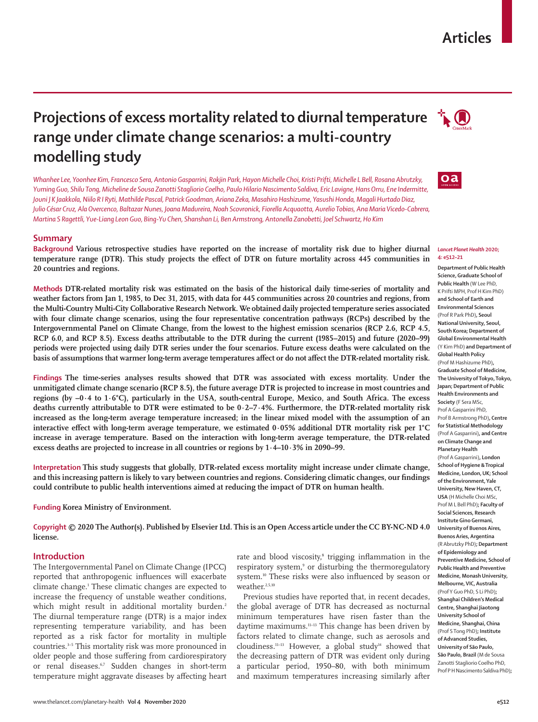# **Articles**

# **Projections of excess mortality related to diurnal temperature range under climate change scenarios: a multi-country modelling study**

*Whanhee Lee, Yoonhee Kim, Francesco Sera, Antonio Gasparrini, Rokjin Park, Hayon Michelle Choi, Kristi Prifti, Michelle L Bell, Rosana Abrutzky, Yuming Guo, Shilu Tong, Micheline de Sousa Zanotti Stagliorio Coelho, Paulo Hilario Nascimento Saldiva, Eric Lavigne, Hans Orru, Ene Indermitte, Jouni J K Jaakkola, Niilo R I Ryti, Mathilde Pascal, Patrick Goodman, Ariana Zeka, Masahiro Hashizume, Yasushi Honda, Magali Hurtado Diaz, Julio César Cruz, Ala Overcenco, Baltazar Nunes, Joana Madureira, Noah Scovronick, Fiorella Acquaotta, Aurelio Tobias, Ana Maria Vicedo-Cabrera, Martina S Ragettli, Yue-Liang Leon Guo, Bing-Yu Chen, Shanshan Li, Ben Armstrong, Antonella Zanobetti, Joel Schwartz, Ho Kim*

### **Summary**

**Background Various retrospective studies have reported on the increase of mortality risk due to higher diurnal temperature range (DTR). This study projects the effect of DTR on future mortality across 445 communities in 20 countries and regions.**

**Methods DTR-related mortality risk was estimated on the basis of the historical daily time-series of mortality and weather factors from Jan 1, 1985, to Dec 31, 2015, with data for 445 communities across 20 countries and regions, from the Multi-Country Multi-City Collaborative Research Network. We obtained daily projected temperature series associated with four climate change scenarios, using the four representative concentration pathways (RCPs) described by the Intergovernmental Panel on Climate Change, from the lowest to the highest emission scenarios (RCP 2.6, RCP 4.5, RCP 6.0, and RCP 8.5). Excess deaths attributable to the DTR during the current (1985–2015) and future (2020–99) periods were projected using daily DTR series under the four scenarios. Future excess deaths were calculated on the basis of assumptions that warmer long-term average temperatures affect or do not affect the DTR-related mortality risk.**

**Findings The time-series analyses results showed that DTR was associated with excess mortality. Under the unmitigated climate change scenario (RCP 8.5), the future average DTR is projected to increase in most countries and regions (by –0·4 to 1·6°C), particularly in the USA, south-central Europe, Mexico, and South Africa. The excess deaths currently attributable to DTR were estimated to be 0·2–7·4%. Furthermore, the DTR-related mortality risk increased as the long-term average temperature increased; in the linear mixed model with the assumption of an interactive effect with long-term average temperature, we estimated 0·05% additional DTR mortality risk per 1°C increase in average temperature. Based on the interaction with long-term average temperature, the DTR-related excess deaths are projected to increase in all countries or regions by 1·4–10·3% in 2090–99.**

**Interpretation This study suggests that globally, DTR-related excess mortality might increase under climate change, and this increasing pattern is likely to vary between countries and regions. Considering climatic changes, our findings could contribute to public health interventions aimed at reducing the impact of DTR on human health.**

**Funding Korea Ministry of Environment.**

**Copyright © 2020 The Author(s). Published by Elsevier Ltd. This is an Open Access article under the CC BY-NC-ND 4.0 license.**

#### **Introduction**

The Intergovernmental Panel on Climate Change (IPCC) reported that anthropogenic influences will exacerbate climate change.1 These climatic changes are expected to increase the frequency of unstable weather conditions, which might result in additional mortality burden.<sup>2</sup> The diurnal temperature range (DTR) is a major index representing temperature variability, and has been reported as a risk factor for mortality in multiple countries.<sup>3-5</sup> This mortality risk was more pronounced in older people and those suffering from cardiorespiratory or renal diseases.<sup>6,7</sup> Sudden changes in short-term temperature might aggravate diseases by affecting heart

rate and blood viscosity,<sup>8</sup> trigging inflammation in the respiratory system,<sup>9</sup> or disturbing the thermoregulatory system.<sup>10</sup> These risks were also influenced by season or weather.<sup>2,5,10</sup>

Previous studies have reported that, in recent decades, the global average of DTR has decreased as nocturnal minimum temperatures have risen faster than the daytime maximums. $11-13$  This change has been driven by factors related to climate change, such as aerosols and cloudiness.<sup>11-13</sup> However, a global study<sup>14</sup> showed that the decreasing pattern of DTR was evident only during a particular period, 1950–80, with both minimum and maximum temperatures increasing similarly after





#### *Lancet Planet Health* **2020; 4: e512–21**

**Department of Public Health Science, Graduate School of Public Health** (W Lee PhD, K Prifti MPH, Prof H Kim PhD) **and School of Earth and Environmental Sciences**  (Prof R Park PhD)**, Seoul National University, Seoul, South Korea; Department of Global Environmental Health**  (Y Kim PhD) **and Department of Global Health Policy**  (Prof M Hashizume PhD)**, Graduate School of Medicine, The University of Tokyo, Tokyo, Japan; Department of Public Health Environments and Society** (F Sera MSc, Prof A Gasparrini PhD, Prof B Armstrong PhD)**, Centre for Statistical Methodology**  (Prof A Gasparrini)**, and Centre on Climate Change and Planetary Health**  (Prof A Gasparrini)**, London School of Hygiene & Tropical Medicine, London, UK; School of the Environment, Yale University, New Haven, CT, USA** (H Michelle Choi MSc, Prof M L Bell PhD)**; Faculty of Social Sciences, Research Institute Gino Germani, University of Buenos Aires, Buenos Aries, Argentina** (R Abrutzky PhD)**; Department of Epidemiology and Preventive Medicine, School of Public Health and Preventive Medicine, Monash University, Melbourne, VIC, Australia** (Prof Y Guo PhD, S Li PhD)**; Shanghai Children's Medical Centre, Shanghai Jiaotong University School of Medicine, Shanghai, China**  (Prof S Tong PhD)**; Institute of Advanced Studies, University of São Paulo, São Paulo, Brazil** (M de Sousa Zanotti Stagliorio Coelho PhD, Prof P H Nascimento Saldiva PhD)**;**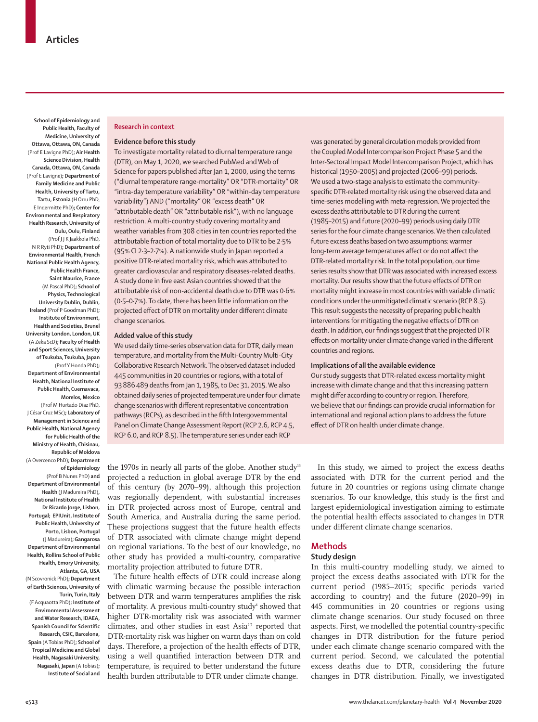**School of Epidemiology and Public Health, Faculty of Medicine, University of Ottawa, Ottawa, ON, Canada**  (Prof E Lavigne PhD)**; Air Health Science Division, Health Canada, Ottawa, ON, Canada**  (Prof E Lavigne)**; Department of Family Medicine and Public Health, University of Tartu, Tartu, Estonia** (H Orru PhD, E Indermitte PhD)**; Center for Environmental and Respiratory Health Research, University of Oulu, Oulu, Finland** (Prof J J K Jaakkola PhD, N R Ryti PhD)**; Department of Environmental Health, French National Public Health Agency, Public Health France, Saint Maurice, France** (M Pascal PhD)**; School of Physics, Technological University Dublin, Dublin, Ireland** (Prof P Goodman PhD)**; Institute of Environment, Health and Societies, Brunel University London, London, UK** (A Zeka ScD)**; Faculty of Health and Sport Sciences, University of Tsukuba, Tsukuba, Japan** (Prof Y Honda PhD)**; Department of Environmental Health, National Institute of Public Health, Cuernavaca, Morelos, Mexico** (Prof M Hurtado Diaz PhD, J César Cruz MSc)**; Laboratory of Management in Science and Public Health, National Agency for Public Health of the Ministry of Health, Chisinau, Republic of Moldova** (A Overcenco PhD)**; Department of Epidemiology**  (Prof B Nunes PhD) **and Department of Environmental Health** (J Madureira PhD)**, National Institute of Health Dr Ricardo Jorge, Lisbon, Portugal; EPIUnit, Institute of Public Health, University of Porto, Lisbon, Portugal**  (J Madureira)**; Gangarosa Department of Environmental Health, Rollins School of Public Health, Emory University, Atlanta, GA, USA**  (N Scovronick PhD)**; Department of Earth Sciences, University of Turin, Turin, Italy** (F Acquaotta PhD)**; Institute of Environmental Assessment** 

#### **and Water Research, IDAEA, Spanish Council for Scientific Research, CSIC, Barcelona, Spain** (A Tobias PhD)**; School of Tropical Medicine and Global Health, Nagasaki University, Nagasaki, Japan** (A Tobias)**; Institute of Social and**

#### **Research in context**

#### **Evidence before this study**

To investigate mortality related to diurnal temperature range (DTR), on May 1, 2020, we searched PubMed and Web of Science for papers published after Jan 1, 2000, using the terms ("diurnal temperature range-mortality" OR "DTR-mortality" OR "intra-day temperature variability" OR "within-day temperature variability") AND ("mortality" OR "excess death" OR "attributable death" OR "attributable risk"), with no language restriction. A multi-country study covering mortality and weather variables from 308 cities in ten countries reported the attributable fraction of total mortality due to DTR to be 2·5% (95% CI 2·3–2·7%). A nationwide study in Japan reported a positive DTR-related mortality risk, which was attributed to greater cardiovascular and respiratory diseases-related deaths. A study done in five east Asian countries showed that the attributable risk of non-accidental death due to DTR was 0·6% (0·5–0·7%). To date, there has been little information on the projected effect of DTR on mortality under different climate change scenarios.

#### **Added value of this study**

We used daily time-series observation data for DTR, daily mean temperature, and mortality from the Multi-Country Multi-City Collaborative Research Network. The observed dataset included 445 communities in 20 countries or regions, with a total of 93886489 deaths from Jan 1, 1985, to Dec 31, 2015. We also obtained daily series of projected temperature under four climate change scenarios with different representative concentration pathways (RCPs), as described in the fifth Intergovernmental Panel on Climate Change Assessment Report (RCP 2.6, RCP 4.5, RCP 6.0, and RCP 8.5). The temperature series under each RCP

was generated by general circulation models provided from the Coupled Model Intercomparison Project Phase 5 and the Inter-Sectoral Impact Model Intercomparison Project, which has historical (1950–2005) and projected (2006–99) periods. We used a two-stage analysis to estimate the communityspecific DTR-related mortality risk using the observed data and time-series modelling with meta-regression. We projected the excess deaths attributable to DTR during the current (1985–2015) and future (2020–99) periods using daily DTR series for the four climate change scenarios. We then calculated future excess deaths based on two assumptions: warmer long-term average temperatures affect or do not affect the DTR-related mortality risk. In the total population, our time series results show that DTR was associated with increased excess mortality. Our results show that the future effects of DTR on mortality might increase in most countries with variable climatic conditions under the unmitigated climatic scenario (RCP 8.5). This result suggests the necessity of preparing public health interventions for mitigating the negative effects of DTR on death. In addition, our findings suggest that the projected DTR effects on mortality under climate change varied in the different countries and regions.

#### **Implications of all the available evidence**

Our study suggests that DTR-related excess mortality might increase with climate change and that this increasing pattern might differ according to country or region. Therefore, we believe that our findings can provide crucial information for international and regional action plans to address the future effect of DTR on health under climate change.

the 1970s in nearly all parts of the globe. Another study<sup>15</sup> projected a reduction in global average DTR by the end of this century (by 2070–99), although this projection was regionally dependent, with substantial increases in DTR projected across most of Europe, central and South America, and Australia during the same period. These projections suggest that the future health effects of DTR associated with climate change might depend on regional variations. To the best of our knowledge, no other study has provided a multi-country, comparative mortality projection attributed to future DTR.

The future health effects of DTR could increase along with climatic warming because the possible interaction between DTR and warm temperatures amplifies the risk of mortality. A previous multi-country study<sup>4</sup> showed that higher DTR-mortality risk was associated with warmer climates, and other studies in east Asia<sup>2,7</sup> reported that DTR-mortality risk was higher on warm days than on cold days. Therefore, a projection of the health effects of DTR, using a well quantified interaction between DTR and temperature, is required to better understand the future health burden attributable to DTR under climate change.

In this study, we aimed to project the excess deaths associated with DTR for the current period and the future in 20 countries or regions using climate change scenarios. To our knowledge, this study is the first and largest epidemiological investigation aiming to estimate the potential health effects associated to changes in DTR under different climate change scenarios.

#### **Methods**

#### **Study design**

In this multi-country modelling study, we aimed to project the excess deaths associated with DTR for the current period (1985–2015; specific periods varied according to country) and the future (2020–99) in 445 communities in 20 countries or regions using climate change scenarios. Our study focused on three aspects. First, we modelled the potential country-specific changes in DTR distribution for the future period under each climate change scenario compared with the current period. Second, we calculated the potential excess deaths due to DTR, considering the future changes in DTR distribution. Finally, we investigated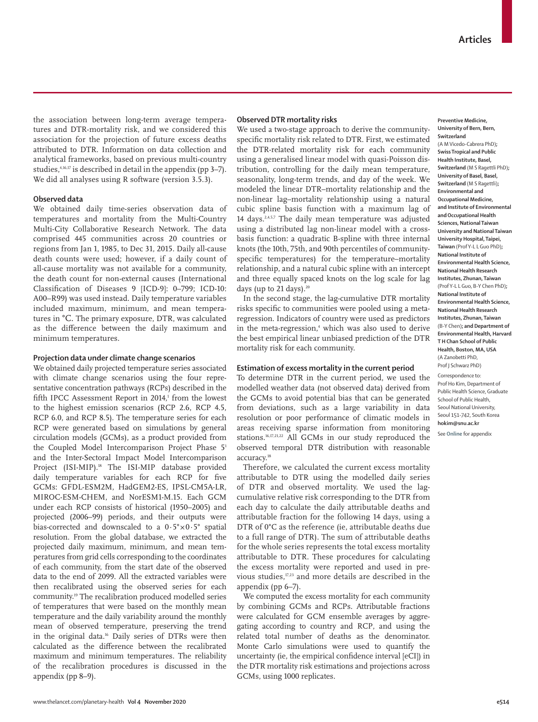the association between long-term average temperatures and DTR-mortality risk, and we considered this association for the projection of future excess deaths attributed to DTR. Information on data collection and analytical frameworks, based on previous multi-country studies, $4,16,17$  is described in detail in the appendix (pp 3–7). We did all analyses using R software (version 3.5.3).

#### **Observed data**

We obtained daily time-series observation data of temperatures and mortality from the Multi-Country Multi-City Collaborative Research Network. The data comprised 445 communities across 20 countries or regions from Jan 1, 1985, to Dec 31, 2015. Daily all-cause death counts were used; however, if a daily count of all-cause mortality was not available for a community, the death count for non-external causes (International Classification of Diseases 9 [ICD-9]: 0–799; ICD-10: A00–R99) was used instead. Daily temperature variables included maximum, minimum, and mean temperatures in °C. The primary exposure, DTR, was calculated as the difference between the daily maximum and minimum temperatures.

#### **Projection data under climate change scenarios**

We obtained daily projected temperature series associated with climate change scenarios using the four representative concentration pathways (RCPs) described in the fifth IPCC Assessment Report in 2014,<sup>1</sup> from the lowest to the highest emission scenarios (RCP 2.6, RCP 4.5, RCP 6.0, and RCP 8.5). The temperature series for each RCP were generated based on simulations by general circulation models (GCMs), as a product provided from the Coupled Model Intercomparison Project Phase 51 and the Inter-Sectoral Impact Model Intercomparison Project (ISI-MIP).<sup>18</sup> The ISI-MIP database provided daily temperature variables for each RCP for five GCMs: GFDL-ESM2M, HadGEM2-ES, IPSL-CM5A-LR, MIROC-ESM-CHEM, and NorESM1-M.15. Each GCM under each RCP consists of historical (1950–2005) and projected (2006–99) periods, and their outputs were bias-corrected and downscaled to a  $0.5^{\circ} \times 0.5^{\circ}$  spatial resolution. From the global database, we extracted the projected daily maximum, minimum, and mean temperatures from grid cells corresponding to the coordinates of each community, from the start date of the observed data to the end of 2099. All the extracted variables were then recalibrated using the observed series for each community.19 The recalibration produced modelled series of temperatures that were based on the monthly mean temperature and the daily variability around the monthly mean of observed temperature, preserving the trend in the original data.16 Daily series of DTRs were then calculated as the difference between the recalibrated maximum and minimum temperatures. The reliability of the recalibration procedures is discussed in the appendix (pp 8–9).

#### **Observed DTR mortality risks**

We used a two-stage approach to derive the communityspecific mortality risk related to DTR. First, we estimated the DTR-related mortality risk for each community using a generalised linear model with quasi-Poisson distribution, controlling for the daily mean temperature, seasonality, long-term trends, and day of the week. We modeled the linear DTR–mortality relationship and the non-linear lag–mortality relationship using a natural cubic spline basis function with a maximum lag of 14 days.<sup>2,4,5,7</sup> The daily mean temperature was adjusted using a distributed lag non-linear model with a crossbasis function: a quadratic B-spline with three internal knots (the 10th, 75th, and 90th percentiles of communityspecific temperatures) for the temperature–mortality relationship, and a natural cubic spline with an intercept and three equally spaced knots on the log scale for lag days (up to 21 days). $20$ 

In the second stage, the lag-cumulative DTR mortality risks specific to communities were pooled using a metaregression. Indicators of country were used as predictors in the meta-regression,<sup>4</sup> which was also used to derive the best empirical linear unbiased prediction of the DTR mortality risk for each community.

#### **Estimation of excess mortality in the current period**

To determine DTR in the current period, we used the modelled weather data (not observed data) derived from the GCMs to avoid potential bias that can be generated from deviations, such as a large variability in data resolution or poor performance of climatic models in areas receiving sparse information from monitoring stations.16,17,21,22 All GCMs in our study reproduced the observed temporal DTR distribution with reasonable accuracy.<sup>18</sup>

Therefore, we calculated the current excess mortality attributable to DTR using the modelled daily series of DTR and observed mortality. We used the lagcumulative relative risk corresponding to the DTR from each day to calculate the daily attributable deaths and attributable fraction for the following 14 days, using a DTR of 0°C as the reference (ie, attributable deaths due to a full range of DTR). The sum of attributable deaths for the whole series represents the total excess mortality attributable to DTR. These procedures for calculating the excess mortality were reported and used in previous studies,17,23 and more details are described in the appendix (pp 6–7).

We computed the excess mortality for each community by combining GCMs and RCPs. Attributable fractions were calculated for GCM ensemble averages by aggregating according to country and RCP, and using the related total number of deaths as the denominator. Monte Carlo simulations were used to quantify the uncertainty (ie, the empirical confidence interval [eCI]) in the DTR mortality risk estimations and projections across GCMs, using 1000 replicates.

#### **Preventive Medicine, University of Bern, Bern,**

**Switzerland** (A M Vicedo-Cabrera PhD)**; Swiss Tropical and Public Health Institute, Basel, Switzerland** (M S Ragettli PhD)**; University of Basel, Basel, Switzerland** (M S Ragettli)**; Environmental and Occupational Medicine, and Institute of Environmental and Occupational Health Sciences, National Taiwan University and National Taiwan University Hospital, Taipei, Taiwan** (Prof Y-L L Guo PhD)**; National Institute of Environmental Health Science, National Health Research Institutes, Zhunan, Taiwan**  (Prof Y-L L Guo, B-Y Chen PhD)**; National Institute of Environmental Health Science, National Health Research Institutes, Zhunan, Taiwan** (B-Y Chen)**; and Department of Environmental Health, Harvard T H Chan School of Public Health, Boston, MA, USA** (A Zanobetti PhD, Prof J Schwarz PhD)

Correspondence to: Prof Ho Kim, Department of Public Health Science, Graduate School of Public Health, Seoul National University, Seoul 151-742, South Korea **hokim@snu.ac.kr** See **Online** for appendix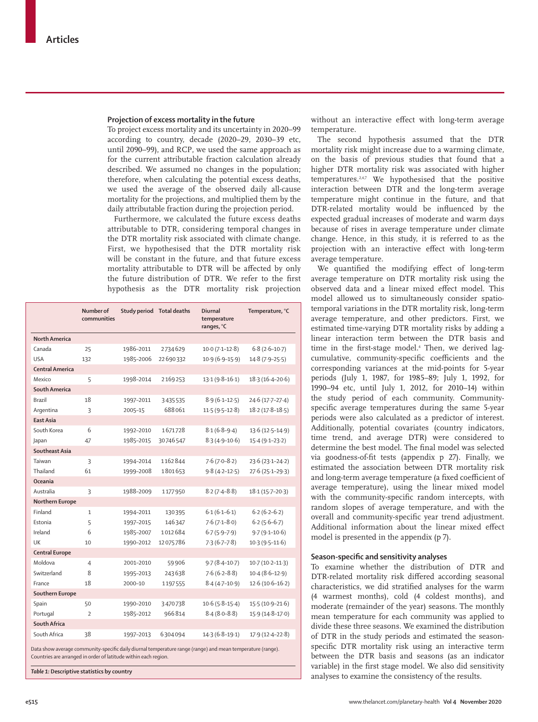#### **Projection of excess mortality in the future**

To project excess mortality and its uncertainty in 2020–99 according to country, decade (2020–29, 2030–39 etc, until 2090–99), and RCP, we used the same approach as for the current attributable fraction calculation already described. We assumed no changes in the population; therefore, when calculating the potential excess deaths, we used the average of the observed daily all-cause mortality for the projections, and multiplied them by the daily attributable fraction during the projection period.

Furthermore, we calculated the future excess deaths attributable to DTR, considering temporal changes in the DTR mortality risk associated with climate change. First, we hypothesised that the DTR mortality risk will be constant in the future, and that future excess mortality attributable to DTR will be affected by only the future distribution of DTR. We refer to the first hypothesis as the DTR mortality risk projection

|                        | Number of<br>communities | Study period Total deaths |          | Diurnal<br>temperature<br>ranges, °C | Temperature, °C     |
|------------------------|--------------------------|---------------------------|----------|--------------------------------------|---------------------|
| <b>North America</b>   |                          |                           |          |                                      |                     |
| Canada                 | 25                       | 1986-2011                 | 2734629  | $10.0(7.1 - 12.8)$                   | $6.8(2.6-10.7)$     |
| <b>USA</b>             | 132                      | 1985-2006                 | 22690332 | $10.9(6.9-15.9)$                     | $14.8(7.9-25.5)$    |
| <b>Central America</b> |                          |                           |          |                                      |                     |
| Mexico                 | 5                        | 1998-2014                 | 2169253  | $13.1(9.8-16.1)$                     | $18.3(16.4 - 20.6)$ |
| South America          |                          |                           |          |                                      |                     |
| Brazil                 | 18                       | 1997-2011                 | 3435535  | $8.9(6.1-12.5)$                      | $24.6(17.7-27.4)$   |
| Argentina              | 3                        | 2005-15                   | 688061   | $11.5(9.5-12.8)$                     | $18.2(17.8-18.5)$   |
| East Asia              |                          |                           |          |                                      |                     |
| South Korea            | 6                        | 1992-2010                 | 1671728  | $8.1(6.8-9.4)$                       | $13.6(12.5 - 14.9)$ |
| Japan                  | 47                       | 1985-2015                 | 30746547 | $8.3(4.9-10.6)$                      | $15.4(9.1-23.2)$    |
| Southeast Asia         |                          |                           |          |                                      |                     |
| Taiwan                 | 3                        | 1994-2014                 | 1162844  | $7.6(7.0-8.2)$                       | $23.6(23.1 - 24.2)$ |
| Thailand               | 61                       | 1999–2008                 | 1801653  | $9.8(4.2 - 12.5)$                    | 27.6 (25.1-29.3)    |
| Oceania                |                          |                           |          |                                      |                     |
| Australia              | 3                        | 1988-2009                 | 1177950  | $8.2(7.4 - 8.8)$                     | $18.1(15.7 - 20.3)$ |
| <b>Northern Europe</b> |                          |                           |          |                                      |                     |
| Finland                | 1                        | 1994-2011                 | 130395   | $6.1(6.1 - 6.1)$                     | $6.2(6.2-6.2)$      |
| Estonia                | 5                        | 1997-2015                 | 146347   | $7.6(7.1 - 8.0)$                     | $6.2(5.6-6.7)$      |
| Ireland                | 6                        | 1985-2007                 | 1012684  | $6.7(5.9 - 7.9)$                     | $9.7(9.1 - 10.6)$   |
| UK                     | 10                       | 1990-2012                 | 12075786 | $7.3(6.7 - 7.8)$                     | $10.3(9.5-11.6)$    |
| <b>Central Europe</b>  |                          |                           |          |                                      |                     |
| Moldova                | 4                        | 2001-2010                 | 59906    | $9.7(8.4 - 10.7)$                    | $10.7(10.2 - 11.3)$ |
| Switzerland            | 8                        | 1995-2013                 | 243638   | $7.6(6.2 - 8.8)$                     | $10.4(8.6-12.9)$    |
| France                 | 18                       | 2000-10                   | 1197555  | $8.4(4.7-10.9)$                      | $12.6(10.6-16.2)$   |
| Southern Europe        |                          |                           |          |                                      |                     |
| Spain                  | 50                       | 1990-2010                 | 3470738  | $10.6(5.8-15.4)$                     | $15.5(10.9-21.6)$   |
| Portugal               | $\overline{2}$           | 1985-2012                 | 966814   | $8.4(8.0 - 8.8)$                     | $15.9(14.8-17.0)$   |
| South Africa           |                          |                           |          |                                      |                     |
| South Africa           | 38                       | 1997-2013                 | 6304094  | $14.3(6.8-19.1)$                     | $17.9(12.4 - 22.8)$ |

Data show average community-specific daily diurnal temperature range (range) and mean temperature (range). Countries are arranged in order of latitude within each region.

*Table 1:* **Descriptive statistics by country**

without an interactive effect with long-term average temperature.

The second hypothesis assumed that the DTR mortality risk might increase due to a warming climate, on the basis of previous studies that found that a higher DTR mortality risk was associated with higher temperatures.2,4,7 We hypothesised that the positive interaction between DTR and the long-term average temperature might continue in the future, and that DTR-related mortality would be influenced by the expected gradual increases of moderate and warm days because of rises in average temperature under climate change. Hence, in this study, it is referred to as the projection with an interactive effect with long-term average temperature.

We quantified the modifying effect of long-term average temperature on DTR mortality risk using the observed data and a linear mixed effect model. This model allowed us to simultaneously consider spatiotemporal variations in the DTR mortality risk, long-term average temperature, and other predictors. First, we estimated time-varying DTR mortality risks by adding a linear interaction term between the DTR basis and time in the first-stage model.<sup>4</sup> Then, we derived lagcumulative, community-specific coefficients and the corresponding variances at the mid-points for 5-year periods (July 1, 1987, for 1985–89; July 1, 1992, for 1990–94 etc, until July 1, 2012, for 2010–14) within the study period of each community. Communityspecific average temperatures during the same 5-year periods were also calculated as a predictor of interest. Additionally, potential covariates (country indicators, time trend, and average DTR) were considered to determine the best model. The final model was selected via goodness-of-fit tests (appendix p 27). Finally, we estimated the association between DTR mortality risk and long-term average temperature (a fixed coefficient of average temperature), using the linear mixed model with the community-specific random intercepts, with random slopes of average temperature, and with the overall and community-specific year trend adjustment. Additional information about the linear mixed effect model is presented in the appendix (p 7).

#### **Season-specific and sensitivity analyses**

To examine whether the distribution of DTR and DTR-related mortality risk differed according seasonal characteristics, we did stratified analyses for the warm (4 warmest months), cold (4 coldest months), and moderate (remainder of the year) seasons. The monthly mean temperature for each community was applied to divide these three seasons. We examined the distribution of DTR in the study periods and estimated the seasonspecific DTR mortality risk using an interactive term between the DTR basis and seasons (as an indicator variable) in the first stage model. We also did sensitivity analyses to examine the consistency of the results.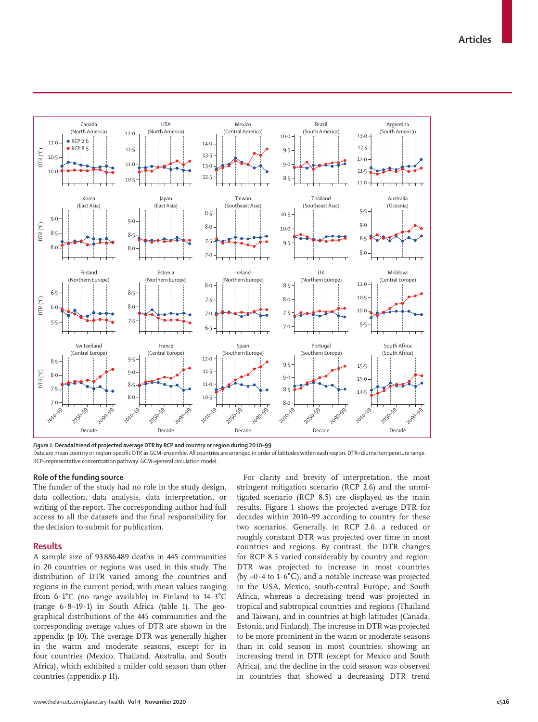

*Figure 1:* **Decadal trend of projected average DTR by RCP and country or region during 2010–99**

Data are mean country or region-specific DTR as GCM-ensemble. All countries are arranged in order of latitudes within each region. DTR=diurnal temperature range. RCP=representative concentration pathway. GCM=general circulation model.

#### **Role of the funding source**

The funder of the study had no role in the study design, data collection, data analysis, data interpretation, or writing of the report. The corresponding author had full access to all the datasets and the final responsibility for the decision to submit for publication.

#### **Results**

A sample size of 93886489 deaths in 445 communities in 20 countries or regions was used in this study. The distribution of DTR varied among the countries and regions in the current period, with mean values ranging from 6·1°C (no range available) in Finland to 14·3°C (range 6·8–19·1) in South Africa (table 1). The geographical distributions of the 445 communities and the corresponding average values of DTR are shown in the appendix (p 10). The average DTR was generally higher in the warm and moderate seasons, except for in four countries (Mexico, Thailand, Australia, and South Africa), which exhibited a milder cold season than other countries (appendix p 11).

For clarity and brevity of interpretation, the most stringent mitigation scenario (RCP 2.6) and the unmitigated scenario (RCP 8.5) are displayed as the main results. Figure 1 shows the projected average DTR for decades within 2010–99 according to country for these two scenarios. Generally, in RCP 2.6, a reduced or roughly constant DTR was projected over time in most countries and regions. By contrast, the DTR changes for RCP 8.5 varied considerably by country and region; DTR was projected to increase in most countries (by  $-0.4$  to  $1.6^{\circ}$ C), and a notable increase was projected in the USA, Mexico, south-central Europe, and South Africa, whereas a decreasing trend was projected in tropical and subtropical countries and regions (Thailand and Taiwan), and in countries at high latitudes (Canada, Estonia, and Finland). The increase in DTR was projected to be more prominent in the warm or moderate seasons than in cold season in most countries, showing an increasing trend in DTR (except for Mexico and South Africa), and the decline in the cold season was observed in countries that showed a decreasing DTR trend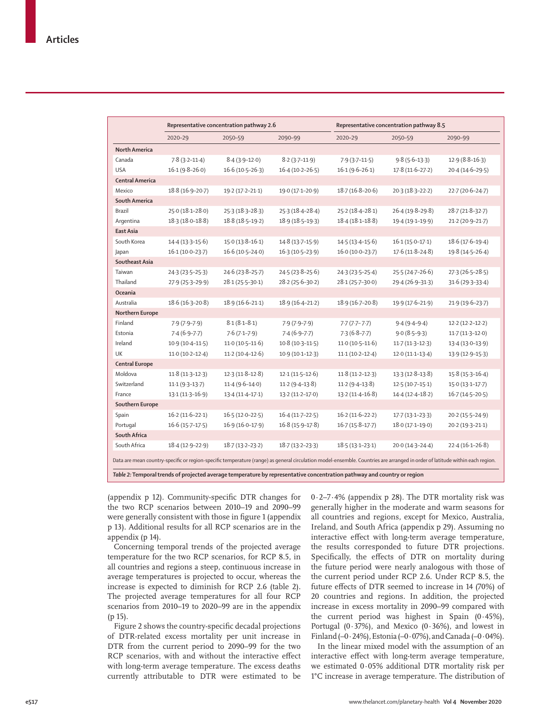|                                                                                                                                                                                                                                                                                                         | Representative concentration pathway 2.6 |                     |                     | Representative concentration pathway 8.5 |                     |                     |  |  |
|---------------------------------------------------------------------------------------------------------------------------------------------------------------------------------------------------------------------------------------------------------------------------------------------------------|------------------------------------------|---------------------|---------------------|------------------------------------------|---------------------|---------------------|--|--|
|                                                                                                                                                                                                                                                                                                         | 2020-29                                  | 2050-59             | 2090-99             | 2020-29                                  | 2050-59             | 2090-99             |  |  |
| <b>North America</b>                                                                                                                                                                                                                                                                                    |                                          |                     |                     |                                          |                     |                     |  |  |
| Canada                                                                                                                                                                                                                                                                                                  | $7.8(3.2 - 11.4)$                        | $8.4(3.9-12.0)$     | $8.2(3.7-11.9)$     | $7.9(3.7-11.5)$                          | $9.8(5.6-13.3)$     | $12.9(8.8-16.3)$    |  |  |
| <b>USA</b>                                                                                                                                                                                                                                                                                              | $16.1(9.8-26.0)$                         | $16.6(10.5-26.3)$   | $16.4(10.2 - 26.5)$ | $16.1(9.6-26.1)$                         | $17.8(11.6-27.2)$   | $20.4(14.6-29.5)$   |  |  |
| <b>Central America</b>                                                                                                                                                                                                                                                                                  |                                          |                     |                     |                                          |                     |                     |  |  |
| Mexico                                                                                                                                                                                                                                                                                                  | $18.8(16.9 - 20.7)$                      | $19.2(17.2 - 21.1)$ | 19.0 (17.1-20.9)    | $18.7(16.8-20.6)$                        | $20.3(18.3 - 22.2)$ | $22.7(20.6 - 24.7)$ |  |  |
| South America                                                                                                                                                                                                                                                                                           |                                          |                     |                     |                                          |                     |                     |  |  |
| Brazil                                                                                                                                                                                                                                                                                                  | $25.0(18.1 - 28.0)$                      | $25.3(18.3 - 28.3)$ | $25.3(18.4 - 28.4)$ | $25.2(18.4 - 28.1)$                      | 26-4 (19-8-29-8)    | $28.7(21.8-32.7)$   |  |  |
| Argentina                                                                                                                                                                                                                                                                                               | $18.3(18.0 - 18.8)$                      | $18.8(18.5-19.2)$   | 18.9 (18.5-19.3)    | $18.4(18.1 - 18.8)$                      | 19-4 (19-1-19-9)    | 21.2 (20.9-21.7)    |  |  |
| <b>East Asia</b>                                                                                                                                                                                                                                                                                        |                                          |                     |                     |                                          |                     |                     |  |  |
| South Korea                                                                                                                                                                                                                                                                                             | $14.4(13.3-15.6)$                        | $15.0(13.8 - 16.1)$ | $14.8(13.7-15.9)$   | $14.5(13.4 - 15.6)$                      | $16.1(15.0-17.1)$   | $18.6(17.6-19.4)$   |  |  |
| Japan                                                                                                                                                                                                                                                                                                   | $16.1(10.0-23.7)$                        | $16.6(10.5 - 24.0)$ | $16.3(10.5-23.9)$   | $16.0(10.0-23.7)$                        | $17.6(11.8-24.8)$   | $19.8(14.5-26.4)$   |  |  |
| Southeast Asia                                                                                                                                                                                                                                                                                          |                                          |                     |                     |                                          |                     |                     |  |  |
| Taiwan                                                                                                                                                                                                                                                                                                  | $24.3(23.5 - 25.3)$                      | $24.6(23.8-25.7)$   | $24.5(23.8-25.6)$   | $24.3(23.5 - 25.4)$                      | $25.5(24.7-26.6)$   | $27.3(26.5 - 28.5)$ |  |  |
| Thailand                                                                                                                                                                                                                                                                                                | 27.9 (25.3-29.9)                         | $28.1(25.5-30.1)$   | $28.2(25.6-30.2)$   | 28-1 (25-7-30-0)                         | 29.4 (26.9-31.3)    | $31.6(29.3 - 33.4)$ |  |  |
| Oceania                                                                                                                                                                                                                                                                                                 |                                          |                     |                     |                                          |                     |                     |  |  |
| Australia                                                                                                                                                                                                                                                                                               | $18.6(16.3 - 20.8)$                      | $18.9(16.6-21.1)$   | $18.9(16.4-21.2)$   | $18.9(16.7-20.8)$                        | 19.9 (17.6-21.9)    | 21.9 (19.6-23.7)    |  |  |
| <b>Northern Europe</b>                                                                                                                                                                                                                                                                                  |                                          |                     |                     |                                          |                     |                     |  |  |
| Finland                                                                                                                                                                                                                                                                                                 | $7.9(7.9 - 7.9)$                         | $8.1(8.1 - 8.1)$    | $7.9(7.9 - 7.9)$    | $7.7(7.7 - 7.7)$                         | $9.4(9.4 - 9.4)$    | $12.2(12.2 - 12.2)$ |  |  |
| Estonia                                                                                                                                                                                                                                                                                                 | $7.4(6.9-7.7)$                           | $7.6(7.1 - 7.9)$    | $7.4(6.9-7.7)$      | $7.3(6.8-7.7)$                           | $9.0(8.5-9.3)$      | $11.7(11.3-12.0)$   |  |  |
| Ireland                                                                                                                                                                                                                                                                                                 | $10.9(10.4-11.5)$                        | $11.0(10.5-11.6)$   | $10.8(10.3 - 11.5)$ | $11.0(10.5-11.6)$                        | $11.7(11.3-12.3)$   | 13-4 (13-0-13-9)    |  |  |
| <b>UK</b>                                                                                                                                                                                                                                                                                               | $11.0(10.2 - 12.4)$                      | $11.2(10.4 - 12.6)$ | $10.9(10.1 - 12.3)$ | $11.1(10.2 - 12.4)$                      | $12.0(11.1-13.4)$   | 13.9 (12.9-15.3)    |  |  |
| <b>Central Europe</b>                                                                                                                                                                                                                                                                                   |                                          |                     |                     |                                          |                     |                     |  |  |
| Moldova                                                                                                                                                                                                                                                                                                 | $11.8(11.3-12.3)$                        | $12.3(11.8-12.8)$   | $12.1(11.5-12.6)$   | $11.8(11.2 - 12.3)$                      | $13.3(12.8-13.8)$   | $15.8(15.3 - 16.4)$ |  |  |
| Switzerland                                                                                                                                                                                                                                                                                             | $11.1(9.3-13.7)$                         | $11.4(9.6-14.0)$    | $11.2(9.4-13.8)$    | $11.2(9.4-13.8)$                         | $12.5(10.7-15.1)$   | $15.0(13.1 - 17.7)$ |  |  |
| France                                                                                                                                                                                                                                                                                                  | $13.1(11.3-16.9)$                        | $13.4(11.4 - 17.1)$ | 13-2 (11-2-17-0)    | $13.2(11.4 - 16.8)$                      | $14.4(12.4 - 18.2)$ | $16.7(14.5 - 20.5)$ |  |  |
| <b>Southern Europe</b>                                                                                                                                                                                                                                                                                  |                                          |                     |                     |                                          |                     |                     |  |  |
| Spain                                                                                                                                                                                                                                                                                                   | $16.2(11.6-22.1)$                        | $16.5(12.0-22.5)$   | $16.4(11.7-22.5)$   | $16.2(11.6-22.2)$                        | $17.7(13.1 - 23.3)$ | 20-2 (15-5-24-9)    |  |  |
| Portugal                                                                                                                                                                                                                                                                                                | $16.6(15.7-17.5)$                        | $16.9(16.0-17.9)$   | $16.8(15.9-17.8)$   | $16.7(15.8-17.7)$                        | $18.0(17.1 - 19.0)$ | $20.2(19.3 - 21.1)$ |  |  |
| South Africa                                                                                                                                                                                                                                                                                            |                                          |                     |                     |                                          |                     |                     |  |  |
| South Africa                                                                                                                                                                                                                                                                                            | $18.4(12.9-22.9)$                        | $18.7(13.2 - 23.2)$ | $18.7(13.2 - 23.3)$ | $18.5(13.1 - 23.1)$                      | $20.0(14.3 - 24.4)$ | $22.4(16.1 - 26.8)$ |  |  |
| Data are mean country-specific or region-specific temperature (range) as general circulation model-ensemble. Countries are arranged in order of latitude within each region.<br>Table 2: Temporal trends of projected average temperature by representative concentration pathway and country or region |                                          |                     |                     |                                          |                     |                     |  |  |

(appendix p 12). Community-specific DTR changes for the two RCP scenarios between 2010–19 and 2090–99 were generally consistent with those in figure 1 (appendix p 13). Additional results for all RCP scenarios are in the appendix (p 14).

Concerning temporal trends of the projected average temperature for the two RCP scenarios, for RCP 8.5, in all countries and regions a steep, continuous increase in average temperatures is projected to occur, whereas the increase is expected to diminish for RCP 2.6 (table 2). The projected average temperatures for all four RCP scenarios from 2010–19 to 2020–99 are in the appendix (p 15).

Figure 2 shows the country-specific decadal projections of DTR-related excess mortality per unit increase in DTR from the current period to 2090–99 for the two RCP scenarios, with and without the interactive effect with long-term average temperature. The excess deaths currently attributable to DTR were estimated to be  $0.2 - 7.4\%$  (appendix p 28). The DTR mortality risk was generally higher in the moderate and warm seasons for all countries and regions, except for Mexico, Australia, Ireland, and South Africa (appendix p 29). Assuming no interactive effect with long-term average temperature, the results corresponded to future DTR projections. Specifically, the effects of DTR on mortality during the future period were nearly analogous with those of the current period under RCP 2.6. Under RCP 8.5, the future effects of DTR seemed to increase in 14 (70%) of 20 countries and regions. In addition, the projected increase in excess mortality in 2090–99 compared with the current period was highest in Spain (0·45%), Portugal  $(0.37\%)$ , and Mexico  $(0.36\%)$ , and lowest in Finland ( $-0.24\%$ ), Estonia ( $-0.07\%$ ), and Canada ( $-0.04\%$ ).

In the linear mixed model with the assumption of an interactive effect with long-term average temperature, we estimated 0·05% additional DTR mortality risk per 1°C increase in average temperature. The distribution of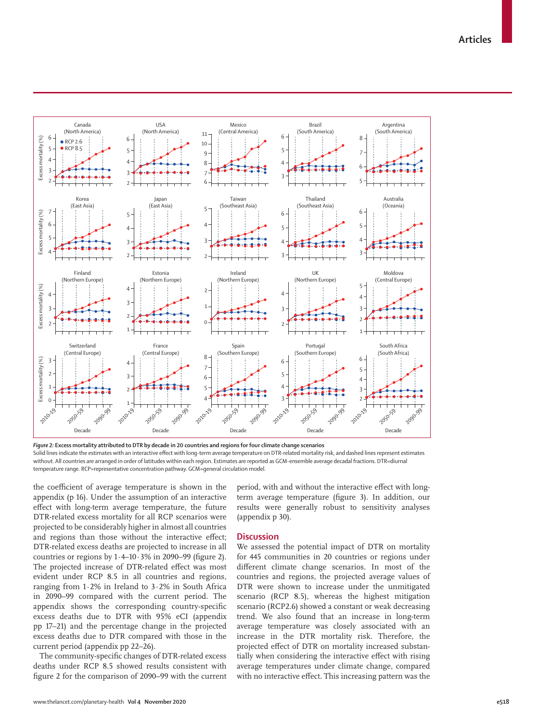

*Figure 2:* **Excess mortality attributed to DTR by decade in 20 countries and regions for four climate change scenarios** Solid lines indicate the estimates with an interactive effect with long-term average temperature on DTR-related mortality risk, and dashed lines represent estimates without. All countries are arranged in order of latitudes within each region. Estimates are reported as GCM-ensemble average decadal fractions. DTR=diurnal temperature range. RCP=representative concentration pathway. GCM=general circulation model.

the coefficient of average temperature is shown in the appendix (p 16). Under the assumption of an interactive effect with long-term average temperature, the future DTR-related excess mortality for all RCP scenarios were projected to be considerably higher in almost all countries and regions than those without the interactive effect; DTR-related excess deaths are projected to increase in all countries or regions by  $1.4-10.3\%$  in 2090–99 (figure 2). The projected increase of DTR-related effect was most evident under RCP 8.5 in all countries and regions, ranging from 1·2% in Ireland to 3·2% in South Africa in 2090–99 compared with the current period. The appendix shows the corresponding country-specific excess deaths due to DTR with 95% eCI (appendix pp 17–21) and the percentage change in the projected excess deaths due to DTR compared with those in the current period (appendix pp 22–26).

The community-specific changes of DTR-related excess deaths under RCP 8.5 showed results consistent with figure 2 for the comparison of 2090–99 with the current period, with and without the interactive effect with longterm average temperature (figure 3). In addition, our results were generally robust to sensitivity analyses (appendix p 30).

### **Discussion**

We assessed the potential impact of DTR on mortality for 445 communities in 20 countries or regions under different climate change scenarios. In most of the countries and regions, the projected average values of DTR were shown to increase under the unmitigated scenario (RCP 8.5), whereas the highest mitigation scenario (RCP2.6) showed a constant or weak decreasing trend. We also found that an increase in long-term average temperature was closely associated with an increase in the DTR mortality risk. Therefore, the projected effect of DTR on mortality increased substantially when considering the interactive effect with rising average temperatures under climate change, compared with no interactive effect. This increasing pattern was the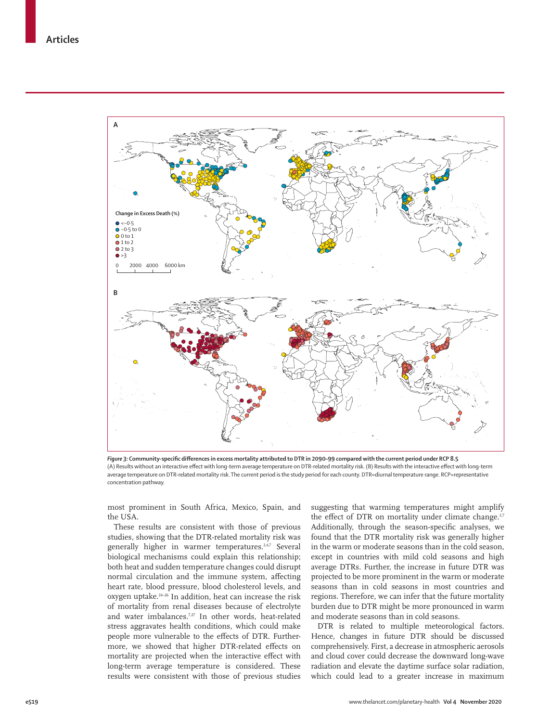

*Figure 3:* **Community-specific differences in excess mortality attributed to DTR in 2090–99 compared with the current period under RCP 8.5** (A) Results without an interactive effect with long-term average temperature on DTR-related mortality risk. (B) Results with the interactive effect with long-term average temperature on DTR-related mortality risk. The current period is the study period for each county. DTR=diurnal temperature range. RCP=representative concentration pathway.

most prominent in South Africa, Mexico, Spain, and the USA.

These results are consistent with those of previous studies, showing that the DTR-related mortality risk was generally higher in warmer temperatures.<sup>2,4,7</sup> Several biological mechanisms could explain this relationship; both heat and sudden temperature changes could disrupt normal circulation and the immune system, affecting heart rate, blood pressure, blood cholesterol levels, and oxygen uptake.<sup>24-26</sup> In addition, heat can increase the risk of mortality from renal diseases because of electrolyte and water imbalances.<sup>7,27</sup> In other words, heat-related stress aggravates health conditions, which could make people more vulnerable to the effects of DTR. Furthermore, we showed that higher DTR-related effects on mortality are projected when the interactive effect with long-term average temperature is considered. These results were consistent with those of previous studies suggesting that warming temperatures might amplify the effect of DTR on mortality under climate change.<sup>2,7</sup> Additionally, through the season-specific analyses, we found that the DTR mortality risk was generally higher in the warm or moderate seasons than in the cold season, except in countries with mild cold seasons and high average DTRs. Further, the increase in future DTR was projected to be more prominent in the warm or moderate seasons than in cold seasons in most countries and regions. Therefore, we can infer that the future mortality burden due to DTR might be more pronounced in warm and moderate seasons than in cold seasons.

DTR is related to multiple meteorological factors. Hence, changes in future DTR should be discussed comprehensively. First, a decrease in atmospheric aerosols and cloud cover could decrease the downward long-wave radiation and elevate the daytime surface solar radiation, which could lead to a greater increase in maximum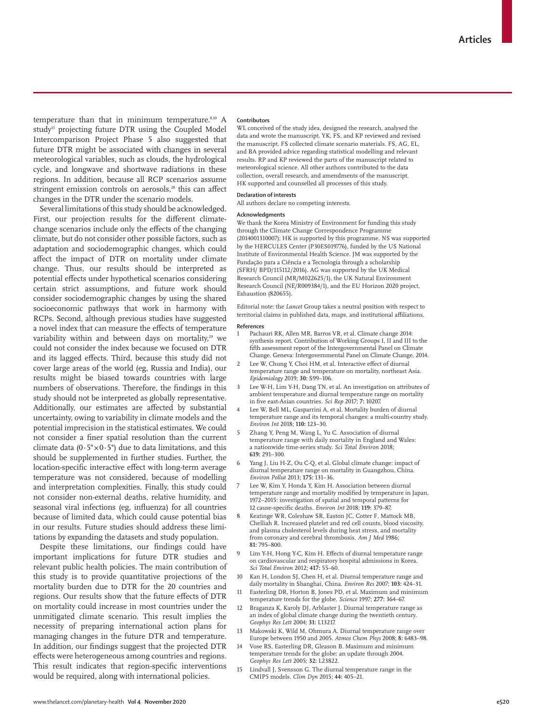temperature than that in minimum temperature.<sup>8,10</sup> A study<sup>15</sup> projecting future DTR using the Coupled Model Intercomparison Project Phase 5 also suggested that future DTR might be associated with changes in several meteorological variables, such as clouds, the hydrological cycle, and longwave and shortwave radiations in these regions. In addition, because all RCP scenarios assume stringent emission controls on aerosols,<sup>28</sup> this can affect changes in the DTR under the scenario models.

Several limitations of this study should be acknowledged. First, our projection results for the different climatechange scenarios include only the effects of the changing climate, but do not consider other possible factors, such as adaptation and sociodemographic changes, which could affect the impact of DTR on mortality under climate change. Thus, our results should be interpreted as potential effects under hypothetical scenarios considering certain strict assumptions, and future work should consider sociodemographic changes by using the shared socioeconomic pathways that work in harmony with RCPs. Second, although previous studies have suggested a novel index that can measure the effects of temperature variability within and between days on mortality,<sup>29</sup> we could not consider the index because we focused on DTR and its lagged effects. Third, because this study did not cover large areas of the world (eg, Russia and India), our results might be biased towards countries with large numbers of observations. Therefore, the findings in this study should not be interpreted as globally representative. Additionally, our estimates are affected by substantial uncertainty, owing to variability in climate models and the potential imprecision in the statistical estimates. We could not consider a finer spatial resolution than the current climate data ( $0.5^{\circ} \times 0.5^{\circ}$ ) due to data limitations, and this should be supplemented in further studies. Further, the location-specific interactive effect with long-term average temperature was not considered, because of modelling and interpretation complexities. Finally, this study could not consider non-external deaths, relative humidity, and seasonal viral infections (eg, influenza) for all countries because of limited data, which could cause potential bias in our results. Future studies should address these limitations by expanding the datasets and study population.

Despite these limitations, our findings could have important implications for future DTR studies and relevant public health policies. The main contribution of this study is to provide quantitative projections of the mortality burden due to DTR for the 20 countries and regions. Our results show that the future effects of DTR on mortality could increase in most countries under the unmitigated climate scenario. This result implies the necessity of preparing international action plans for managing changes in the future DTR and temperature. In addition, our findings suggest that the projected DTR effects were heterogeneous among countries and regions. This result indicates that region-specific interventions would be required, along with international policies.

#### **Contributors**

WL conceived of the study idea, designed the research, analysed the data and wrote the manuscript. YK, FS, and KP reviewed and revised the manuscript. FS collected climate scenario materials. FS, AG, EL, and BA provided advice regarding statistical modelling and relevant results. RP and KP reviewed the parts of the manuscript related to meteorological science. All other authors contributed to the data collection, overall research, and amendments of the manuscript. HK supported and counselled all processes of this study.

#### **Declaration of interests**

All authors declare no competing interests.

#### **Acknowledgments**

We thank the Korea Ministry of Environment for funding this study through the Climate Change Correspondence Programme (2014001310007); HK is supported by this programme. NS was supported by the HERCULES Center (P30ES019776), funded by the US National Institute of Environmental Health Science. JM was supported by the Fundação para a Ciência e a Tecnologia through a scholarship (SFRH/ BPD/115112/2016). AG was supported by the UK Medical Research Council (MR/M022625/1), the UK Natural Environment Research Council (NE/R009384/1), and the EU Horizon 2020 project, Exhaustion (820655).

Editorial note: the *Lancet* Group takes a neutral position with respect to territorial claims in published data, maps, and institutional affiliations.

#### **References**

- 1 Pachauri RK, Allen MR, Barros VR, et al. Climate change 2014: synthesis report. Contribution of Working Groups I, II and III to the fifth assessment report of the Intergovernmental Panel on Climate Change. Geneva: Intergovernmental Panel on Climate Change, 2014.
- Lee W, Chung Y, Choi HM, et al. Interactive effect of diurnal temperature range and temperature on mortality, northeast Asia. *Epidemiology* 2019; **30:** S99–106.
- Lee W-H, Lim Y-H, Dang TN, et al. An investigation on attributes of ambient temperature and diurnal temperature range on mortality in five east-Asian countries. *Sci Rep* 2017; **7:** 10207.
- Lee W, Bell ML, Gasparrini A, et al. Mortality burden of diurnal temperature range and its temporal changes: a multi-country study. *Environ Int* 2018; **110:** 123–30.
- Zhang Y, Peng M, Wang L, Yu C. Association of diurnal temperature range with daily mortality in England and Wales: a nationwide time-series study. *Sci Total Environ* 2018; **619:** 291–300.
- Yang J, Liu H-Z, Ou C-Q, et al. Global climate change: impact of diurnal temperature range on mortality in Guangzhou, China. *Environ Pollut* 2013; **175:** 131–36.
- Lee W, Kim Y, Honda Y, Kim H. Association between diurnal temperature range and mortality modified by temperature in Japan, 1972–2015: investigation of spatial and temporal patterns for 12 cause-specific deaths. *Environ Int* 2018; **119:** 379–87.
- 8 Keatinge WR, Coleshaw SR, Easton JC, Cotter F, Mattock MB, Chelliah R. Increased platelet and red cell counts, blood viscosity, and plasma cholesterol levels during heat stress, and mortality from coronary and cerebral thrombosis. *Am J Med* 1986; **81:** 795–800.
- Lim Y-H, Hong Y-C, Kim H. Effects of diurnal temperature range on cardiovascular and respiratory hospital admissions in Korea. *Sci Total Environ* 2012; **417:** 55–60.
- 10 Kan H, London SJ, Chen H, et al. Diurnal temperature range and daily mortality in Shanghai, China. *Environ Res* 2007; **103:** 424–31.
- 11 Easterling DR, Horton B, Jones PD, et al. Maximum and minimum temperature trends for the globe. *Science* 1997; **277:** 364–67.
- 12 Braganza K, Karoly DJ, Arblaster J. Diurnal temperature range as an index of global climate change during the twentieth century. *Geophys Res Lett* 2004; **31:** L13217.
- 13 Makowski K, Wild M, Ohmura A. Diurnal temperature range over Europe between 1950 and 2005. *Atmos Chem Phys* 2008; **8:** 6483–98.
- Vose RS, Easterling DR, Gleason B. Maximum and minimum temperature trends for the globe: an update through 2004. *Geophys Res Lett* 2005; **32:** L23822.
- Lindvall J, Svensson G. The diurnal temperature range in the CMIP5 models. *Clim Dyn* 2015; **44:** 405–21.